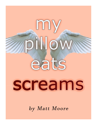# Imy  $\sum_{i=1}^{n}$ eats

screams

by Matt Moore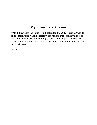#### **"My Pillow Eats Screams"**

**"My Pillow Eats Screams" is a finalist for the 2022 Aurora Awards in the Best Poem / Song category**. I'm making this ebook available to you to read the work while voting is open. If you enjoy it, please see "The Aurora Awards" at the end of this ebook to learn how you can vote for it. Thanks!

-Matt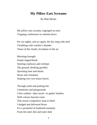#### **My Pillow Eats Screams**

By Matt Moore

My pillow eats screams, engorged on tears Trapping confessions in celestial down

For six nights, and six again, the sky sang with steel Trembling with warfare's thunder Titans of the clouds, leviathans of the air

Mornings brought Purple-tinged blood Staining roadways and rooftops The ground, drinking greedily Sprouting mint and thistle Roses and cinnamon Snaking over row house fences

Through yards and parking lots Cemeteries and playgrounds I first walked—then raced—to gather feathers With colours beyond count That struck competitors mad or blind I dodged and delivered blows For a pocketful of feathered remnants From the inner dim and outer dark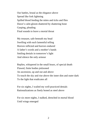Our battles, brutal as the elegance above Spread like fork lightning Spilled blood feeding the mites and ticks and flies Dawn's calm gloom shattered by shattering bone Gasping, pleading Final sounds to leave a mortal throat

My treasure, safe beneath my head Swelling with each lamentful telling Horrors inflicted and horrors endured A father's words and a mother's hands Smiling denials in tomorrow's light And silence the only armour

Replies, whispered in the small hours, of special death Flawed, finite bodies jettisoned An ascension, up and out and above To touch the sky and rise above the inner dim and outer dark To the light that eradicates all

For six nights, I wailed my well-practiced denials Rationalizations as finely honed as steel above

For six more nights, I stalked, drenched in mortal blood Until wings emerged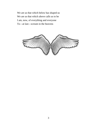We are as that which below has shaped us We are as that which above calls us to be I am, now, of everything and everyone To—at last—scream in the heavens

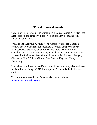## **The Aurora Awards**

"My Pillow Eats Screams" is a finalist in the 2022 Aurora Awards in the Best Poem / Song category. I hope you enjoyed my poem and will consider voting for it.

**What are the Aurora Awards?** The Aurora Awards are Canada's premier fan-voted awards for speculative fiction. Categories cover novels, stories, artwork, fan activities, and more. Any work by a Canadian can be nominated, and any Canadian can nominate works and vote on the final ballot. Past winners have included Robert J. Sawyer, Charles de Lint, William Gibson, Guy Gavriel Kay, and Kelley Armstrong.

I have been nominated a handful of times in various categories, and won for Best Poem / Song in 2018 for my poem "Heaven is the hell of no choices".

To learn how to vote in the Auroras, visit my website at www.mattmoorewrites.com.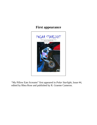## **First appearance**



"My Pillow Eats Screams" first appeared in *Polar Starlight*, Issue #4, edited by Rhea Rose and published by R. Graeme Cameron.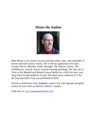#### **About the Author**



Matt Moore is an Aurora Award-winning author, poet, and columnist of horror and dark science fiction. His work has appeared in *On Spec*, *Cosmic Horror Monthly*, *Polar Starlight*, *The Ottawa Citizen*, *The Drabblecast*, and the Aurora Award-winning anthology *The Sum of Us: Tales of the Bonded and Bound* (Laksa Media) for which his story was long-listed for the Sunburst Award. His short story collection *It's Not the End and Other Lies* was published in 2018.

Raised in small town New England, a place rich with legends and ghost stories, he now lives in Ottawa, Ontario, Canada.

Find more at www.mattmoorewrites.com.